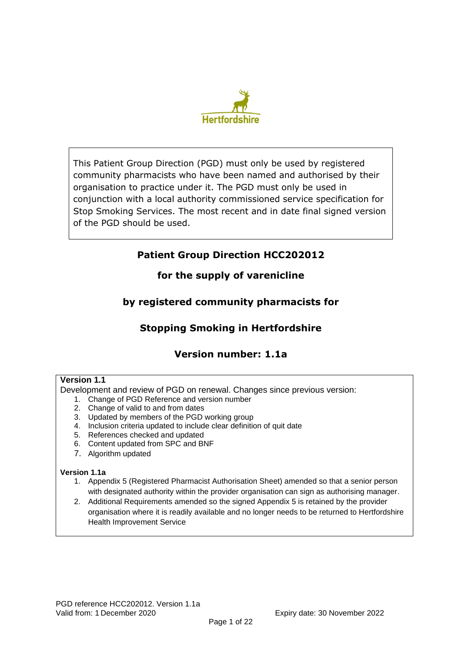

This Patient Group Direction (PGD) must only be used by registered community pharmacists who have been named and authorised by their organisation to practice under it. The PGD must only be used in conjunction with a local authority commissioned service specification for Stop Smoking Services. The most recent and in date final signed version of the PGD should be used.

# **Patient Group Direction HCC202012**

**for the supply of varenicline** 

# **by registered community pharmacists for**

# **Stopping Smoking in Hertfordshire**

# **Version number: 1.1a**

### **Version 1.1**

Development and review of PGD on renewal. Changes since previous version:

- 1. Change of PGD Reference and version number
- 2. Change of valid to and from dates
- 3. Updated by members of the PGD working group
- 4. Inclusion criteria updated to include clear definition of quit date
- 5. References checked and updated
- 6. Content updated from SPC and BNF
- 7. Algorithm updated

### **Version 1.1a**

- 1. Appendix 5 (Registered Pharmacist Authorisation Sheet) amended so that a senior person with designated authority within the provider organisation can sign as authorising manager.
- 2. Additional Requirements amended so the signed Appendix 5 is retained by the provider organisation where it is readily available and no longer needs to be returned to Hertfordshire Health Improvement Service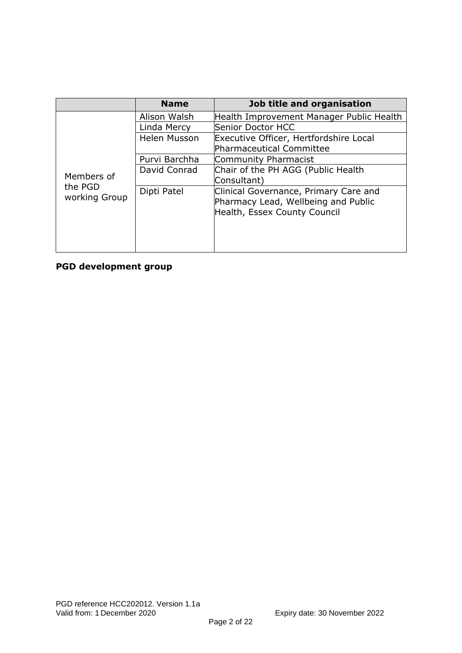|                                        | <b>Name</b>         | Job title and organisation               |
|----------------------------------------|---------------------|------------------------------------------|
|                                        | Alison Walsh        | Health Improvement Manager Public Health |
|                                        | Linda Mercy         | Senior Doctor HCC                        |
|                                        | <b>Helen Musson</b> | Executive Officer, Hertfordshire Local   |
|                                        |                     | Pharmaceutical Committee                 |
|                                        | Purvi Barchha       | Community Pharmacist                     |
|                                        | David Conrad        | Chair of the PH AGG (Public Health       |
| Members of<br>the PGD<br>working Group |                     | Consultant)                              |
|                                        | Dipti Patel         | Clinical Governance, Primary Care and    |
|                                        |                     | Pharmacy Lead, Wellbeing and Public      |
|                                        |                     | Health, Essex County Council             |
|                                        |                     |                                          |
|                                        |                     |                                          |
|                                        |                     |                                          |

## **PGD development group**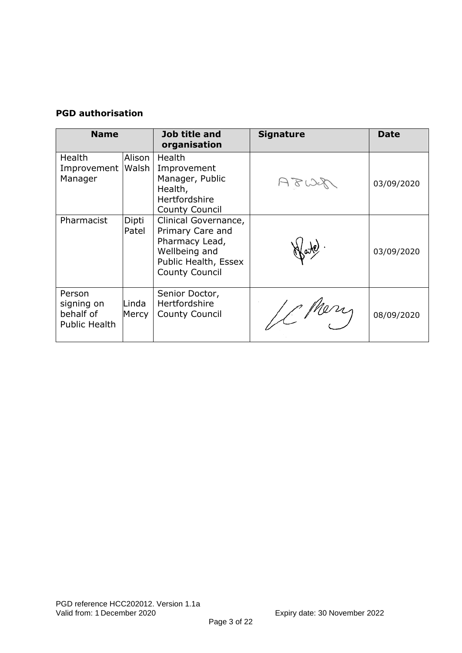## **PGD authorisation**

| <b>Name</b>                                        |                 | Job title and<br>organisation                                                                                                | <b>Signature</b> | <b>Date</b> |
|----------------------------------------------------|-----------------|------------------------------------------------------------------------------------------------------------------------------|------------------|-------------|
| <b>Health</b><br>Improvement<br>Manager            | Alison<br>Walsh | <b>Health</b><br>Improvement<br>Manager, Public<br>Health,<br><b>Hertfordshire</b><br><b>County Council</b>                  |                  | 03/09/2020  |
| Pharmacist                                         | Dipti<br>Patel  | Clinical Governance,<br>Primary Care and<br>Pharmacy Lead,<br>Wellbeing and<br>Public Health, Essex<br><b>County Council</b> |                  | 03/09/2020  |
| Person<br>signing on<br>behalf of<br>Public Health | Linda<br>Mercy  | Senior Doctor,<br><b>Hertfordshire</b><br><b>County Council</b>                                                              |                  | 08/09/2020  |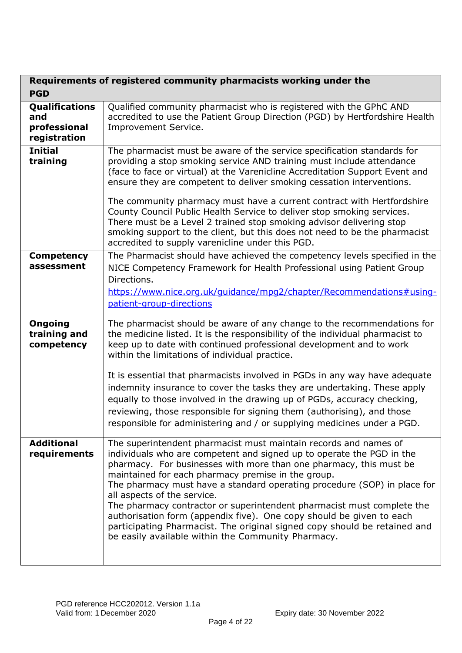| <b>PGD</b>                                            | Requirements of registered community pharmacists working under the                                                                                                                                                                                                                                                                                                                                                                                                                                                                                                                                                                                                          |
|-------------------------------------------------------|-----------------------------------------------------------------------------------------------------------------------------------------------------------------------------------------------------------------------------------------------------------------------------------------------------------------------------------------------------------------------------------------------------------------------------------------------------------------------------------------------------------------------------------------------------------------------------------------------------------------------------------------------------------------------------|
| Qualifications<br>and<br>professional<br>registration | Qualified community pharmacist who is registered with the GPhC AND<br>accredited to use the Patient Group Direction (PGD) by Hertfordshire Health<br>Improvement Service.                                                                                                                                                                                                                                                                                                                                                                                                                                                                                                   |
| <b>Initial</b><br>training                            | The pharmacist must be aware of the service specification standards for<br>providing a stop smoking service AND training must include attendance<br>(face to face or virtual) at the Varenicline Accreditation Support Event and<br>ensure they are competent to deliver smoking cessation interventions.<br>The community pharmacy must have a current contract with Hertfordshire<br>County Council Public Health Service to deliver stop smoking services.<br>There must be a Level 2 trained stop smoking advisor delivering stop<br>smoking support to the client, but this does not need to be the pharmacist<br>accredited to supply varenicline under this PGD.     |
| <b>Competency</b><br>assessment                       | The Pharmacist should have achieved the competency levels specified in the<br>NICE Competency Framework for Health Professional using Patient Group<br>Directions.<br>https://www.nice.org.uk/guidance/mpg2/chapter/Recommendations#using-<br>patient-group-directions                                                                                                                                                                                                                                                                                                                                                                                                      |
| <b>Ongoing</b><br>training and<br>competency          | The pharmacist should be aware of any change to the recommendations for<br>the medicine listed. It is the responsibility of the individual pharmacist to<br>keep up to date with continued professional development and to work<br>within the limitations of individual practice.<br>It is essential that pharmacists involved in PGDs in any way have adequate<br>indemnity insurance to cover the tasks they are undertaking. These apply<br>equally to those involved in the drawing up of PGDs, accuracy checking,<br>reviewing, those responsible for signing them (authorising), and those<br>responsible for administering and / or supplying medicines under a PGD. |
| <b>Additional</b><br>requirements                     | The superintendent pharmacist must maintain records and names of<br>individuals who are competent and signed up to operate the PGD in the<br>pharmacy. For businesses with more than one pharmacy, this must be<br>maintained for each pharmacy premise in the group.<br>The pharmacy must have a standard operating procedure (SOP) in place for<br>all aspects of the service.<br>The pharmacy contractor or superintendent pharmacist must complete the<br>authorisation form (appendix five). One copy should be given to each<br>participating Pharmacist. The original signed copy should be retained and<br>be easily available within the Community Pharmacy.       |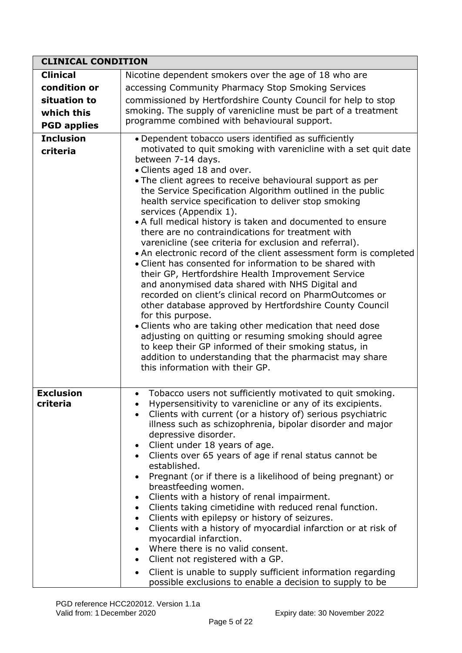| <b>CLINICAL CONDITION</b>    |                                                                                                                                                                                                                                                                                                                                                                                                                                                                                                                                                                                                                                                                                                                                                                                                                                                                                                                                                                                                                                                                                                                                                                                   |
|------------------------------|-----------------------------------------------------------------------------------------------------------------------------------------------------------------------------------------------------------------------------------------------------------------------------------------------------------------------------------------------------------------------------------------------------------------------------------------------------------------------------------------------------------------------------------------------------------------------------------------------------------------------------------------------------------------------------------------------------------------------------------------------------------------------------------------------------------------------------------------------------------------------------------------------------------------------------------------------------------------------------------------------------------------------------------------------------------------------------------------------------------------------------------------------------------------------------------|
| <b>Clinical</b>              | Nicotine dependent smokers over the age of 18 who are                                                                                                                                                                                                                                                                                                                                                                                                                                                                                                                                                                                                                                                                                                                                                                                                                                                                                                                                                                                                                                                                                                                             |
| condition or                 | accessing Community Pharmacy Stop Smoking Services                                                                                                                                                                                                                                                                                                                                                                                                                                                                                                                                                                                                                                                                                                                                                                                                                                                                                                                                                                                                                                                                                                                                |
| situation to                 | commissioned by Hertfordshire County Council for help to stop                                                                                                                                                                                                                                                                                                                                                                                                                                                                                                                                                                                                                                                                                                                                                                                                                                                                                                                                                                                                                                                                                                                     |
| which this                   | smoking. The supply of varenicline must be part of a treatment                                                                                                                                                                                                                                                                                                                                                                                                                                                                                                                                                                                                                                                                                                                                                                                                                                                                                                                                                                                                                                                                                                                    |
| <b>PGD applies</b>           | programme combined with behavioural support.                                                                                                                                                                                                                                                                                                                                                                                                                                                                                                                                                                                                                                                                                                                                                                                                                                                                                                                                                                                                                                                                                                                                      |
| <b>Inclusion</b>             | • Dependent tobacco users identified as sufficiently                                                                                                                                                                                                                                                                                                                                                                                                                                                                                                                                                                                                                                                                                                                                                                                                                                                                                                                                                                                                                                                                                                                              |
| criteria                     | motivated to quit smoking with varenicline with a set quit date<br>between 7-14 days.<br>• Clients aged 18 and over.<br>• The client agrees to receive behavioural support as per<br>the Service Specification Algorithm outlined in the public<br>health service specification to deliver stop smoking<br>services (Appendix 1).<br>• A full medical history is taken and documented to ensure<br>there are no contraindications for treatment with<br>varenicline (see criteria for exclusion and referral).<br>• An electronic record of the client assessment form is completed<br>• Client has consented for information to be shared with<br>their GP, Hertfordshire Health Improvement Service<br>and anonymised data shared with NHS Digital and<br>recorded on client's clinical record on PharmOutcomes or<br>other database approved by Hertfordshire County Council<br>for this purpose.<br>• Clients who are taking other medication that need dose<br>adjusting on quitting or resuming smoking should agree<br>to keep their GP informed of their smoking status, in<br>addition to understanding that the pharmacist may share<br>this information with their GP. |
| <b>Exclusion</b><br>criteria | Tobacco users not sufficiently motivated to quit smoking.<br>Hypersensitivity to varenicline or any of its excipients<br>Clients with current (or a history of) serious psychiatric<br>illness such as schizophrenia, bipolar disorder and major<br>depressive disorder.<br>Client under 18 years of age.<br>$\bullet$<br>Clients over 65 years of age if renal status cannot be<br>$\bullet$<br>established.<br>Pregnant (or if there is a likelihood of being pregnant) or<br>breastfeeding women.<br>Clients with a history of renal impairment.<br>$\bullet$<br>Clients taking cimetidine with reduced renal function.<br>$\bullet$<br>Clients with epilepsy or history of seizures.<br>$\bullet$<br>Clients with a history of myocardial infarction or at risk of<br>$\bullet$<br>myocardial infarction.<br>Where there is no valid consent.<br>$\bullet$<br>Client not registered with a GP.<br>$\bullet$<br>Client is unable to supply sufficient information regarding<br>$\bullet$<br>possible exclusions to enable a decision to supply to be                                                                                                                           |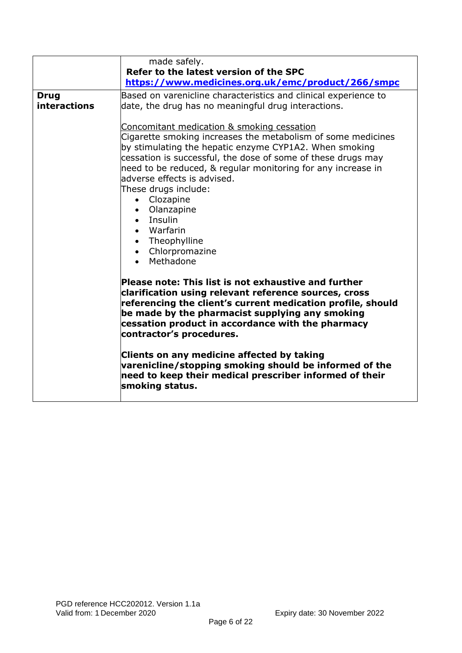|                                    | made safely.<br>Refer to the latest version of the SPC<br>https://www.medicines.org.uk/emc/product/266/smpc                                                                                                                                                                                                                                                                                                                                                                 |
|------------------------------------|-----------------------------------------------------------------------------------------------------------------------------------------------------------------------------------------------------------------------------------------------------------------------------------------------------------------------------------------------------------------------------------------------------------------------------------------------------------------------------|
| <b>Drug</b><br><b>interactions</b> | Based on varenicline characteristics and clinical experience to<br>date, the drug has no meaningful drug interactions.                                                                                                                                                                                                                                                                                                                                                      |
|                                    | Concomitant medication & smoking cessation<br>Cigarette smoking increases the metabolism of some medicines<br>by stimulating the hepatic enzyme CYP1A2. When smoking<br>cessation is successful, the dose of some of these drugs may<br>need to be reduced, & regular monitoring for any increase in<br>ladverse effects is advised.<br>These drugs include:<br>• Clozapine<br>• Olanzapine<br>• Insulin<br>• Warfarin<br>• Theophylline<br>• Chlorpromazine<br>• Methadone |
|                                    | Please note: This list is not exhaustive and further<br>clarification using relevant reference sources, cross<br>referencing the client's current medication profile, should<br>be made by the pharmacist supplying any smoking<br>cessation product in accordance with the pharmacy<br>contractor's procedures.                                                                                                                                                            |
|                                    | Clients on any medicine affected by taking<br>varenicline/stopping smoking should be informed of the<br>need to keep their medical prescriber informed of their<br>smoking status.                                                                                                                                                                                                                                                                                          |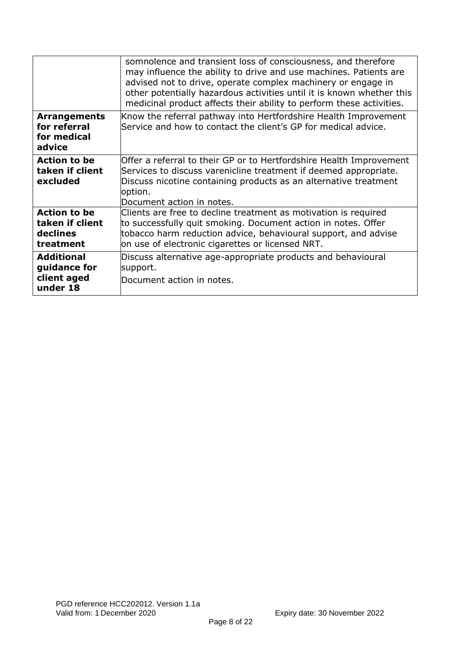|                                                                 | somnolence and transient loss of consciousness, and therefore<br>may influence the ability to drive and use machines. Patients are<br>advised not to drive, operate complex machinery or engage in<br>other potentially hazardous activities until it is known whether this<br>medicinal product affects their ability to perform these activities. |
|-----------------------------------------------------------------|-----------------------------------------------------------------------------------------------------------------------------------------------------------------------------------------------------------------------------------------------------------------------------------------------------------------------------------------------------|
| <b>Arrangements</b><br>for referral<br>for medical<br>advice    | Know the referral pathway into Hertfordshire Health Improvement<br>Service and how to contact the client's GP for medical advice.                                                                                                                                                                                                                   |
| <b>Action to be</b><br>taken if client<br>excluded              | Offer a referral to their GP or to Hertfordshire Health Improvement<br>Services to discuss varenicline treatment if deemed appropriate.<br>Discuss nicotine containing products as an alternative treatment<br>option.<br>Document action in notes.                                                                                                 |
| <b>Action to be</b><br>taken if client<br>declines<br>treatment | Clients are free to decline treatment as motivation is required<br>to successfully quit smoking. Document action in notes. Offer<br>tobacco harm reduction advice, behavioural support, and advise<br>on use of electronic cigarettes or licensed NRT.                                                                                              |
| <b>Additional</b><br>guidance for<br>client aged<br>under 18    | Discuss alternative age-appropriate products and behavioural<br>support.<br>Document action in notes.                                                                                                                                                                                                                                               |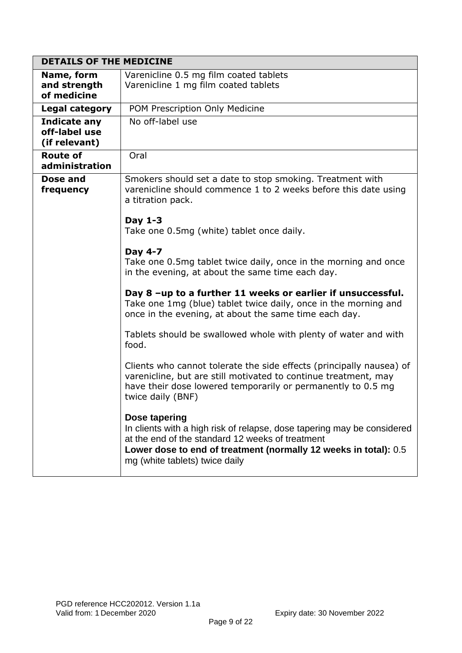| <b>DETAILS OF THE MEDICINE</b>                        |                                                                                                                                                                                                                                                    |
|-------------------------------------------------------|----------------------------------------------------------------------------------------------------------------------------------------------------------------------------------------------------------------------------------------------------|
| Name, form<br>and strength<br>of medicine             | Varenicline 0.5 mg film coated tablets<br>Varenicline 1 mg film coated tablets                                                                                                                                                                     |
| Legal category                                        | POM Prescription Only Medicine                                                                                                                                                                                                                     |
| <b>Indicate any</b><br>off-label use<br>(if relevant) | No off-label use                                                                                                                                                                                                                                   |
| <b>Route of</b><br>administration                     | Oral                                                                                                                                                                                                                                               |
| Dose and<br>frequency                                 | Smokers should set a date to stop smoking. Treatment with<br>varenicline should commence 1 to 2 weeks before this date using<br>a titration pack.                                                                                                  |
|                                                       | Day 1-3<br>Take one 0.5mg (white) tablet once daily.                                                                                                                                                                                               |
|                                                       | Day 4-7<br>Take one 0.5mg tablet twice daily, once in the morning and once<br>in the evening, at about the same time each day.                                                                                                                     |
|                                                       | Day 8 -up to a further 11 weeks or earlier if unsuccessful.<br>Take one 1mg (blue) tablet twice daily, once in the morning and<br>once in the evening, at about the same time each day.                                                            |
|                                                       | Tablets should be swallowed whole with plenty of water and with<br>food.                                                                                                                                                                           |
|                                                       | Clients who cannot tolerate the side effects (principally nausea) of<br>varenicline, but are still motivated to continue treatment, may<br>have their dose lowered temporarily or permanently to 0.5 mg<br>twice daily (BNF)                       |
|                                                       | Dose tapering<br>In clients with a high risk of relapse, dose tapering may be considered<br>at the end of the standard 12 weeks of treatment<br>Lower dose to end of treatment (normally 12 weeks in total): 0.5<br>mg (white tablets) twice daily |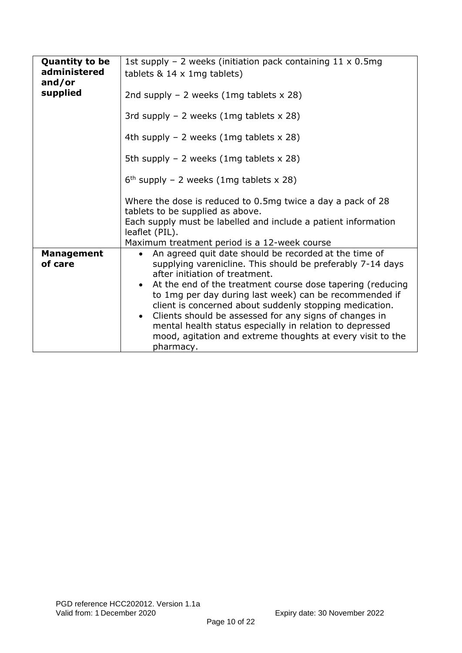| <b>Quantity to be</b><br>administered<br>and/or | 1st supply - 2 weeks (initiation pack containing $11 \times 0.5$ mg<br>tablets $& 14 \times 1$ mg tablets)                                                                                                                                             |
|-------------------------------------------------|--------------------------------------------------------------------------------------------------------------------------------------------------------------------------------------------------------------------------------------------------------|
| supplied                                        | 2nd supply $-$ 2 weeks (1mg tablets $\times$ 28)                                                                                                                                                                                                       |
|                                                 | 3rd supply $-2$ weeks (1mg tablets x 28)                                                                                                                                                                                                               |
|                                                 | 4th supply $-2$ weeks (1mg tablets x 28)                                                                                                                                                                                                               |
|                                                 | 5th supply $-2$ weeks (1mg tablets x 28)                                                                                                                                                                                                               |
|                                                 | $6th$ supply - 2 weeks (1mg tablets x 28)                                                                                                                                                                                                              |
|                                                 | Where the dose is reduced to 0.5mg twice a day a pack of 28<br>tablets to be supplied as above.                                                                                                                                                        |
|                                                 | Each supply must be labelled and include a patient information<br>leaflet (PIL).                                                                                                                                                                       |
|                                                 | Maximum treatment period is a 12-week course                                                                                                                                                                                                           |
| <b>Management</b><br>of care                    | An agreed quit date should be recorded at the time of<br>supplying varenicline. This should be preferably 7-14 days<br>after initiation of treatment.                                                                                                  |
|                                                 | At the end of the treatment course dose tapering (reducing<br>to 1mg per day during last week) can be recommended if<br>client is concerned about suddenly stopping medication.<br>Clients should be assessed for any signs of changes in<br>$\bullet$ |
|                                                 | mental health status especially in relation to depressed<br>mood, agitation and extreme thoughts at every visit to the<br>pharmacy.                                                                                                                    |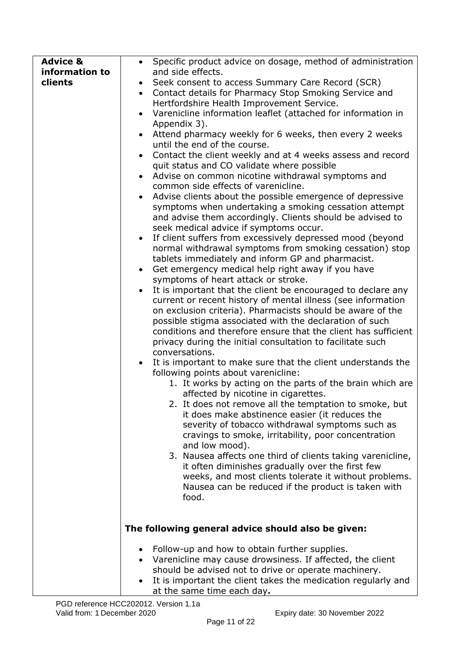| <b>Advice &amp;</b><br>information to<br>clients | Specific product advice on dosage, method of administration<br>$\bullet$<br>and side effects.<br>Seek consent to access Summary Care Record (SCR)<br>Contact details for Pharmacy Stop Smoking Service and<br>$\bullet$<br>Hertfordshire Health Improvement Service.<br>Varenicline information leaflet (attached for information in<br>$\bullet$<br>Appendix 3).<br>Attend pharmacy weekly for 6 weeks, then every 2 weeks<br>until the end of the course.<br>Contact the client weekly and at 4 weeks assess and record<br>$\bullet$<br>quit status and CO validate where possible<br>Advise on common nicotine withdrawal symptoms and<br>common side effects of varenicline.<br>Advise clients about the possible emergence of depressive<br>$\bullet$<br>symptoms when undertaking a smoking cessation attempt<br>and advise them accordingly. Clients should be advised to<br>seek medical advice if symptoms occur.<br>If client suffers from excessively depressed mood (beyond<br>$\bullet$<br>normal withdrawal symptoms from smoking cessation) stop<br>tablets immediately and inform GP and pharmacist.<br>Get emergency medical help right away if you have<br>symptoms of heart attack or stroke.<br>It is important that the client be encouraged to declare any<br>$\bullet$<br>current or recent history of mental illness (see information<br>on exclusion criteria). Pharmacists should be aware of the<br>possible stigma associated with the declaration of such<br>conditions and therefore ensure that the client has sufficient<br>privacy during the initial consultation to facilitate such<br>conversations.<br>It is important to make sure that the client understands the<br>following points about varenicline:<br>1. It works by acting on the parts of the brain which are<br>affected by nicotine in cigarettes.<br>2. It does not remove all the temptation to smoke, but<br>it does make abstinence easier (it reduces the<br>severity of tobacco withdrawal symptoms such as<br>cravings to smoke, irritability, poor concentration<br>and low mood).<br>3. Nausea affects one third of clients taking varenicline,<br>it often diminishes gradually over the first few<br>weeks, and most clients tolerate it without problems. |
|--------------------------------------------------|------------------------------------------------------------------------------------------------------------------------------------------------------------------------------------------------------------------------------------------------------------------------------------------------------------------------------------------------------------------------------------------------------------------------------------------------------------------------------------------------------------------------------------------------------------------------------------------------------------------------------------------------------------------------------------------------------------------------------------------------------------------------------------------------------------------------------------------------------------------------------------------------------------------------------------------------------------------------------------------------------------------------------------------------------------------------------------------------------------------------------------------------------------------------------------------------------------------------------------------------------------------------------------------------------------------------------------------------------------------------------------------------------------------------------------------------------------------------------------------------------------------------------------------------------------------------------------------------------------------------------------------------------------------------------------------------------------------------------------------------------------------------------------------------------------------------------------------------------------------------------------------------------------------------------------------------------------------------------------------------------------------------------------------------------------------------------------------------------------------------------------------------------------------------------------------------------------------------------------------------------------------------|
|                                                  | Nausea can be reduced if the product is taken with<br>food.<br>The following general advice should also be given:                                                                                                                                                                                                                                                                                                                                                                                                                                                                                                                                                                                                                                                                                                                                                                                                                                                                                                                                                                                                                                                                                                                                                                                                                                                                                                                                                                                                                                                                                                                                                                                                                                                                                                                                                                                                                                                                                                                                                                                                                                                                                                                                                      |
|                                                  | Follow-up and how to obtain further supplies.<br>٠                                                                                                                                                                                                                                                                                                                                                                                                                                                                                                                                                                                                                                                                                                                                                                                                                                                                                                                                                                                                                                                                                                                                                                                                                                                                                                                                                                                                                                                                                                                                                                                                                                                                                                                                                                                                                                                                                                                                                                                                                                                                                                                                                                                                                     |
|                                                  | Varenicline may cause drowsiness. If affected, the client<br>should be advised not to drive or operate machinery.<br>It is important the client takes the medication regularly and<br>at the same time each day.                                                                                                                                                                                                                                                                                                                                                                                                                                                                                                                                                                                                                                                                                                                                                                                                                                                                                                                                                                                                                                                                                                                                                                                                                                                                                                                                                                                                                                                                                                                                                                                                                                                                                                                                                                                                                                                                                                                                                                                                                                                       |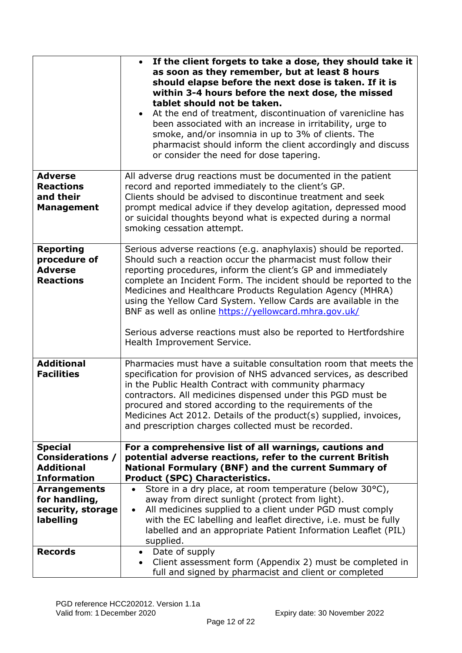|                                                                                      | If the client forgets to take a dose, they should take it<br>as soon as they remember, but at least 8 hours<br>should elapse before the next dose is taken. If it is<br>within 3-4 hours before the next dose, the missed<br>tablet should not be taken.<br>At the end of treatment, discontinuation of varenicline has<br>been associated with an increase in irritability, urge to<br>smoke, and/or insomnia in up to 3% of clients. The<br>pharmacist should inform the client accordingly and discuss<br>or consider the need for dose tapering.                |
|--------------------------------------------------------------------------------------|---------------------------------------------------------------------------------------------------------------------------------------------------------------------------------------------------------------------------------------------------------------------------------------------------------------------------------------------------------------------------------------------------------------------------------------------------------------------------------------------------------------------------------------------------------------------|
| <b>Adverse</b><br><b>Reactions</b><br>and their<br><b>Management</b>                 | All adverse drug reactions must be documented in the patient<br>record and reported immediately to the client's GP.<br>Clients should be advised to discontinue treatment and seek<br>prompt medical advice if they develop agitation, depressed mood<br>or suicidal thoughts beyond what is expected during a normal<br>smoking cessation attempt.                                                                                                                                                                                                                 |
| <b>Reporting</b><br>procedure of<br><b>Adverse</b><br><b>Reactions</b>               | Serious adverse reactions (e.g. anaphylaxis) should be reported.<br>Should such a reaction occur the pharmacist must follow their<br>reporting procedures, inform the client's GP and immediately<br>complete an Incident Form. The incident should be reported to the<br>Medicines and Healthcare Products Regulation Agency (MHRA)<br>using the Yellow Card System. Yellow Cards are available in the<br>BNF as well as online https://yellowcard.mhra.gov.uk/<br>Serious adverse reactions must also be reported to Hertfordshire<br>Health Improvement Service. |
| <b>Additional</b><br><b>Facilities</b>                                               | Pharmacies must have a suitable consultation room that meets the<br>specification for provision of NHS advanced services, as described<br>in the Public Health Contract with community pharmacy<br>contractors. All medicines dispensed under this PGD must be<br>procured and stored according to the requirements of the<br>Medicines Act 2012. Details of the product(s) supplied, invoices,<br>and prescription charges collected must be recorded.                                                                                                             |
| <b>Special</b><br><b>Considerations /</b><br><b>Additional</b><br><b>Information</b> | For a comprehensive list of all warnings, cautions and<br>potential adverse reactions, refer to the current British<br>National Formulary (BNF) and the current Summary of<br><b>Product (SPC) Characteristics.</b>                                                                                                                                                                                                                                                                                                                                                 |
| <b>Arrangements</b><br>for handling,<br>security, storage<br>labelling               | Store in a dry place, at room temperature (below 30°C),<br>away from direct sunlight (protect from light).<br>All medicines supplied to a client under PGD must comply<br>$\bullet$<br>with the EC labelling and leaflet directive, i.e. must be fully<br>labelled and an appropriate Patient Information Leaflet (PIL)<br>supplied.                                                                                                                                                                                                                                |
| <b>Records</b>                                                                       | Date of supply<br>$\bullet$<br>Client assessment form (Appendix 2) must be completed in<br>$\bullet$<br>full and signed by pharmacist and client or completed                                                                                                                                                                                                                                                                                                                                                                                                       |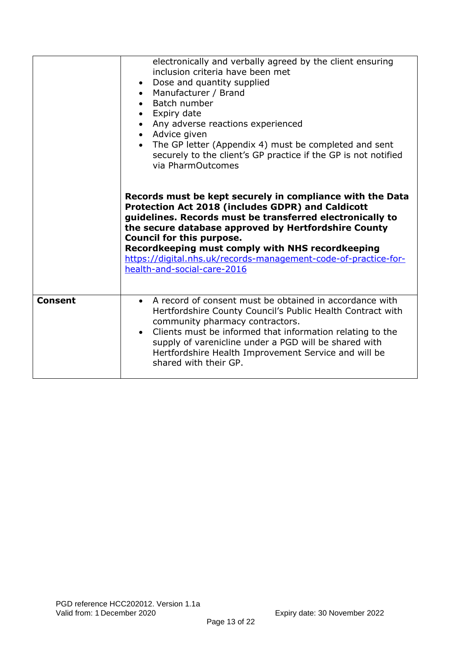|                | electronically and verbally agreed by the client ensuring<br>inclusion criteria have been met<br>• Dose and quantity supplied<br>• Manufacturer / Brand<br>• Batch number<br>• Expiry date<br>• Any adverse reactions experienced<br>• Advice given<br>• The GP letter (Appendix 4) must be completed and sent<br>securely to the client's GP practice if the GP is not notified<br>via PharmOutcomes                                |
|----------------|--------------------------------------------------------------------------------------------------------------------------------------------------------------------------------------------------------------------------------------------------------------------------------------------------------------------------------------------------------------------------------------------------------------------------------------|
|                | Records must be kept securely in compliance with the Data<br><b>Protection Act 2018 (includes GDPR) and Caldicott</b><br>guidelines. Records must be transferred electronically to<br>the secure database approved by Hertfordshire County<br><b>Council for this purpose.</b><br>Recordkeeping must comply with NHS recordkeeping<br>https://digital.nhs.uk/records-management-code-of-practice-for-<br>health-and-social-care-2016 |
| <b>Consent</b> | A record of consent must be obtained in accordance with<br>$\bullet$<br>Hertfordshire County Council's Public Health Contract with<br>community pharmacy contractors.<br>Clients must be informed that information relating to the<br>supply of varenicline under a PGD will be shared with<br>Hertfordshire Health Improvement Service and will be<br>shared with their GP.                                                         |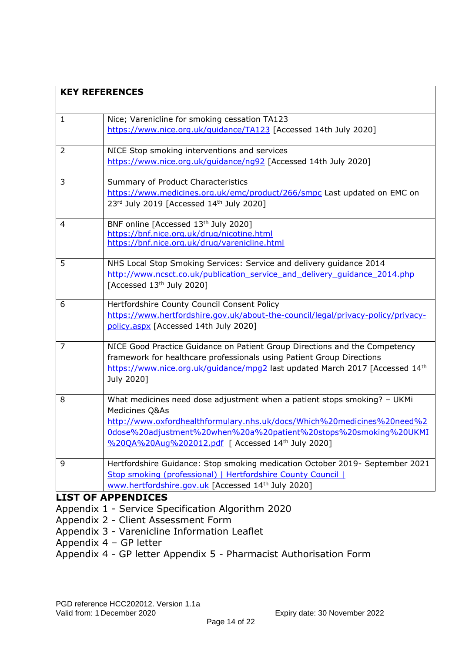| <b>KEY REFERENCES</b> |                                                                                                                                                                                                                                                                                                |  |  |  |
|-----------------------|------------------------------------------------------------------------------------------------------------------------------------------------------------------------------------------------------------------------------------------------------------------------------------------------|--|--|--|
| $\mathbf{1}$          | Nice; Varenicline for smoking cessation TA123<br>https://www.nice.org.uk/guidance/TA123 [Accessed 14th July 2020]                                                                                                                                                                              |  |  |  |
| $\overline{2}$        | NICE Stop smoking interventions and services<br>https://www.nice.org.uk/guidance/ng92 [Accessed 14th July 2020]                                                                                                                                                                                |  |  |  |
| 3                     | Summary of Product Characteristics<br>https://www.medicines.org.uk/emc/product/266/smpc Last updated on EMC on<br>23rd July 2019 [Accessed 14th July 2020]                                                                                                                                     |  |  |  |
| 4                     | BNF online [Accessed 13th July 2020]<br>https://bnf.nice.org.uk/drug/nicotine.html<br>https://bnf.nice.org.uk/drug/varenicline.html                                                                                                                                                            |  |  |  |
| 5                     | NHS Local Stop Smoking Services: Service and delivery guidance 2014<br>http://www.ncsct.co.uk/publication service and delivery quidance 2014.php<br>[Accessed 13th July 2020]                                                                                                                  |  |  |  |
| 6                     | Hertfordshire County Council Consent Policy<br>https://www.hertfordshire.gov.uk/about-the-council/legal/privacy-policy/privacy-<br>policy.aspx [Accessed 14th July 2020]                                                                                                                       |  |  |  |
| $\overline{7}$        | NICE Good Practice Guidance on Patient Group Directions and the Competency<br>framework for healthcare professionals using Patient Group Directions<br>https://www.nice.org.uk/guidance/mpg2 last updated March 2017 [Accessed 14th<br>July 2020]                                              |  |  |  |
| 8                     | What medicines need dose adjustment when a patient stops smoking? - UKMi<br>Medicines Q&As<br>http://www.oxfordhealthformulary.nhs.uk/docs/Which%20medicines%20need%2<br>0dose%20adjustment%20when%20a%20patient%20stops%20smoking%20UKMI<br>%20QA%20Aug%202012.pdf   Accessed 14th July 2020] |  |  |  |
| 9                     | Hertfordshire Guidance: Stop smoking medication October 2019- September 2021<br>Stop smoking (professional)   Hertfordshire County Council  <br>www.hertfordshire.gov.uk [Accessed 14th July 2020]                                                                                             |  |  |  |
|                       | <b>LIST OF APPENDICES</b><br>Appendix 1 - Service Specification Algorithm 2020                                                                                                                                                                                                                 |  |  |  |

- Appendix 2 Client Assessment Form
- Appendix 3 Varenicline Information Leaflet
- Appendix 4 GP letter
- Appendix 4 GP letter Appendix 5 Pharmacist Authorisation Form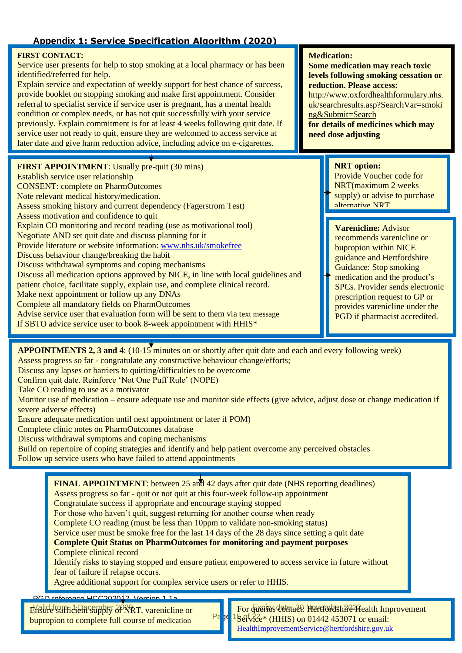## **Appendix 1: Service Specification Algorithm (2020)**

#### **FIRST CONTACT:**

Service user presents for help to stop smoking at a local pharmacy or has been identified/referred for help.

Explain service and expectation of weekly support for best chance of success, provide booklet on stopping smoking and make first appointment. Consider referral to specialist service if service user is pregnant, has a mental health condition or complex needs, or has not quit successfully with your service previously. Explain commitment is for at least 4 weeks following quit date. If service user not ready to quit, ensure they are welcomed to access service at later date and give harm reduction advice, including advice on e-cigarettes.

**FIRST APPOINTMENT**: Usually pre-quit (30 mins) Establish service user relationship CONSENT: complete on PharmOutcomes Note relevant medical history/medication. Assess smoking history and current dependency (Fagerstrom Test) Assess motivation and confidence to quit Explain CO monitoring and record reading (use as motivational tool) Negotiate AND set quit date and discuss planning for it Provide literature or website information: [www.nhs.uk/smokefree](http://www.nhs.uk/smokefree) Discuss behaviour change/breaking the habit Discuss withdrawal symptoms and coping mechanisms Discuss all medication options approved by NICE, in line with local guidelines and patient choice, facilitate supply, explain use, and complete clinical record. Make next appointment or follow up any DNAs Complete all mandatory fields on PharmOutcomes Advise service user that evaluation form will be sent to them via text message If SBTO advice service user to book 8-week appointment with HHIS\*

#### **Medication:**

**Some medication may reach toxic levels following smoking cessation or reduction. Please access:** [http://www.oxfordhealthformulary.nhs.](http://www.oxfordhealthformulary.nhs.uk/searchresults.asp?SearchVar=smoking&Submit=Search) [uk/searchresults.asp?SearchVar=smoki](http://www.oxfordhealthformulary.nhs.uk/searchresults.asp?SearchVar=smoking&Submit=Search) [ng&Submit=Search](http://www.oxfordhealthformulary.nhs.uk/searchresults.asp?SearchVar=smoking&Submit=Search) **for details of medicines which may need dose adjusting**

### **NRT option:**

Provide Voucher code for NRT(maximum 2 weeks supply) or advise to purchase alternative NRT

### **Varenicline:** Advisor

recommends varenicline or bupropion within NICE guidance and Hertfordshire Guidance: Stop smoking medication and the product's SPCs. Provider sends electronic prescription request to GP or provides varenicline under the PGD if pharmacist accredited.

**APPOINTMENTS 2, 3 and 4**: (10-15 minutes on or shortly after quit date and each and every following week) Assess progress so far - congratulate any constructive behaviour change/efforts;

Discuss any lapses or barriers to quitting/difficulties to be overcome

Confirm quit date. Reinforce 'Not One Puff Rule' (NOPE)

Take CO reading to use as a motivator

Monitor use of medication – ensure adequate use and monitor side effects (give advice, adjust dose or change medication if severe adverse effects)

Ensure adequate medication until next appointment or later if POM)

Complete clinic notes on PharmOutcomes database

Discuss withdrawal symptoms and coping mechanisms

Build on repertoire of coping strategies and identify and help patient overcome any perceived obstacles Follow up service users who have failed to attend appointments

PGD reference HCC202012. Version 1.1a Ensure sufficient supply 20 RRT, varenicline or **Formal Properties Commander Preversion and Preversion FINAL APPOINTMENT**: between 25 and 42 days after quit date (NHS reporting deadlines) Assess progress so far - quit or not quit at this four-week follow-up appointment Congratulate success if appropriate and encourage staying stopped For those who haven't quit, suggest returning for another course when ready Complete CO reading (must be less than 10ppm to validate non-smoking status) Service user must be smoke free for the last 14 days of the 28 days since setting a quit date **Complete Quit Status on PharmOutcomes for monitoring and payment purposes** Complete clinical record Identify risks to staying stopped and ensure patient empowered to access service in future without fear of failure if relapse occurs. Agree additional support for complex service users or refer to HHIS. bupropion to complete full course of medication For **Gueries contact: Hertfordshire Health Improvement** 

 $\frac{\text{Pe}}{\text{2}}$  J<sup>e</sup> <sup>1</sup>Service\* (HHIS) on 01442 453071 or email: [HealthImprovementService@hertfordshire.gov.uk](mailto:HealthImprovementService@hertfordshire.gov.uk)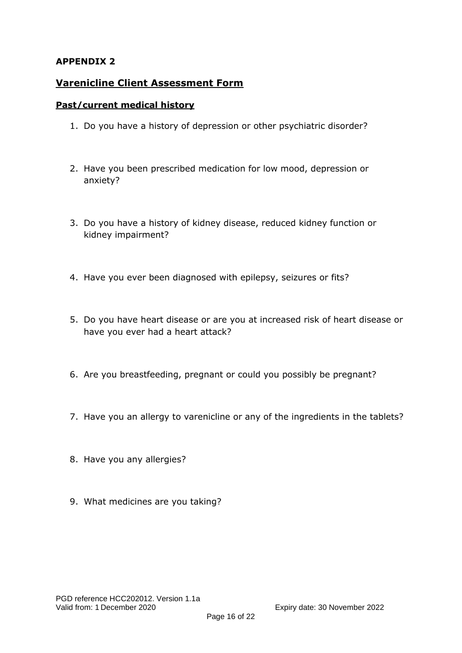## **APPENDIX 2**

## **Varenicline Client Assessment Form**

### **Past/current medical history**

- 1. Do you have a history of depression or other psychiatric disorder?
- 2. Have you been prescribed medication for low mood, depression or anxiety?
- 3. Do you have a history of kidney disease, reduced kidney function or kidney impairment?
- 4. Have you ever been diagnosed with epilepsy, seizures or fits?
- 5. Do you have heart disease or are you at increased risk of heart disease or have you ever had a heart attack?
- 6. Are you breastfeeding, pregnant or could you possibly be pregnant?
- 7. Have you an allergy to varenicline or any of the ingredients in the tablets?
- 8. Have you any allergies?
- 9. What medicines are you taking?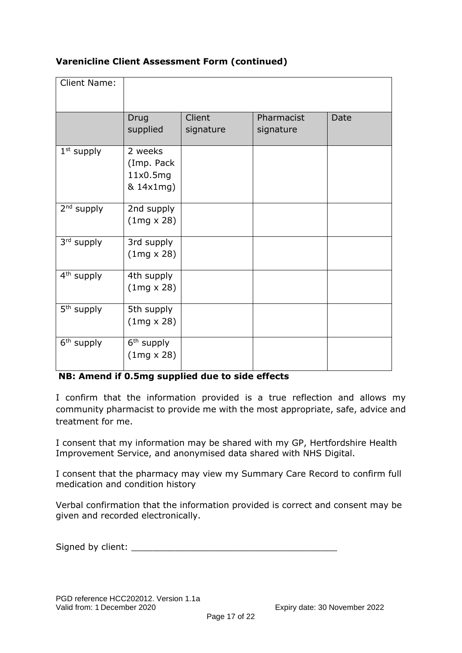## **Varenicline Client Assessment Form (continued)**

| <b>Client Name:</b>    |                                                |                     |                         |      |
|------------------------|------------------------------------------------|---------------------|-------------------------|------|
|                        | Drug<br>supplied                               | Client<br>signature | Pharmacist<br>signature | Date |
| $1st$ supply           | 2 weeks<br>(Imp. Pack<br>11x0.5mg<br>& 14x1mg) |                     |                         |      |
| 2 <sup>nd</sup> supply | 2nd supply<br>$(1mg \times 28)$                |                     |                         |      |
| 3rd supply             | 3rd supply<br>$(1mg \times 28)$                |                     |                         |      |
| 4 <sup>th</sup> supply | 4th supply<br>$(1mg \times 28)$                |                     |                         |      |
| 5 <sup>th</sup> supply | 5th supply<br>$(1mg \times 28)$                |                     |                         |      |
| 6 <sup>th</sup> supply | 6 <sup>th</sup> supply<br>$(1mg \times 28)$    |                     |                         |      |

### **NB: Amend if 0.5mg supplied due to side effects**

I confirm that the information provided is a true reflection and allows my community pharmacist to provide me with the most appropriate, safe, advice and treatment for me.

I consent that my information may be shared with my GP, Hertfordshire Health Improvement Service, and anonymised data shared with NHS Digital.

I consent that the pharmacy may view my Summary Care Record to confirm full medication and condition history

Verbal confirmation that the information provided is correct and consent may be given and recorded electronically.

Signed by client: \_\_\_\_\_\_\_\_\_\_\_\_\_\_\_\_\_\_\_\_\_\_\_\_\_\_\_\_\_\_\_\_\_\_\_\_\_\_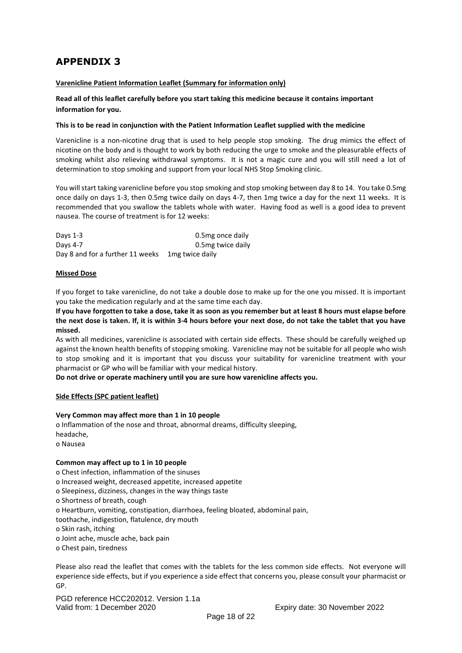# **APPENDIX 3**

#### **Varenicline Patient Information Leaflet (Summary for information only)**

#### **Read all of this leaflet carefully before you start taking this medicine because it contains important information for you.**

#### **This is to be read in conjunction with the Patient Information Leaflet supplied with the medicine**

Varenicline is a non-nicotine drug that is used to help people stop smoking. The drug mimics the effect of nicotine on the body and is thought to work by both reducing the urge to smoke and the pleasurable effects of smoking whilst also relieving withdrawal symptoms. It is not a magic cure and you will still need a lot of determination to stop smoking and support from your local NHS Stop Smoking clinic.

You will start taking varenicline before you stop smoking and stop smoking between day 8 to 14. You take 0.5mg once daily on days 1-3, then 0.5mg twice daily on days 4-7, then 1mg twice a day for the next 11 weeks. It is recommended that you swallow the tablets whole with water. Having food as well is a good idea to prevent nausea. The course of treatment is for 12 weeks:

| Days 1-3                         | 0.5mg once daily  |
|----------------------------------|-------------------|
| Davs 4-7                         | 0.5mg twice daily |
| Day 8 and for a further 11 weeks | 1 mg twice daily  |

#### **Missed Dose**

If you forget to take varenicline, do not take a double dose to make up for the one you missed. It is important you take the medication regularly and at the same time each day.

**If you have forgotten to take a dose, take it as soon as you remember but at least 8 hours must elapse before the next dose is taken. If, it is within 3-4 hours before your next dose, do not take the tablet that you have missed.**

As with all medicines, varenicline is associated with certain side effects. These should be carefully weighed up against the known health benefits of stopping smoking. Varenicline may not be suitable for all people who wish to stop smoking and it is important that you discuss your suitability for varenicline treatment with your pharmacist or GP who will be familiar with your medical history.

**Do not drive or operate machinery until you are sure how varenicline affects you.**

#### **Side Effects (SPC patient leaflet)**

#### **Very Common may affect more than 1 in 10 people**

o Inflammation of the nose and throat, abnormal dreams, difficulty sleeping, headache, o Nausea

#### **Common may affect up to 1 in 10 people**

o Chest infection, inflammation of the sinuses o Increased weight, decreased appetite, increased appetite o Sleepiness, dizziness, changes in the way things taste o Shortness of breath, cough o Heartburn, vomiting, constipation, diarrhoea, feeling bloated, abdominal pain, toothache, indigestion, flatulence, dry mouth o Skin rash, itching o Joint ache, muscle ache, back pain o Chest pain, tiredness

Please also read the leaflet that comes with the tablets for the less common side effects. Not everyone will experience side effects, but if you experience a side effect that concerns you, please consult your pharmacist or GP.

PGD reference HCC202012. Version 1.1a Valid from: 1 December 2020 Expiry date: 30 November 2022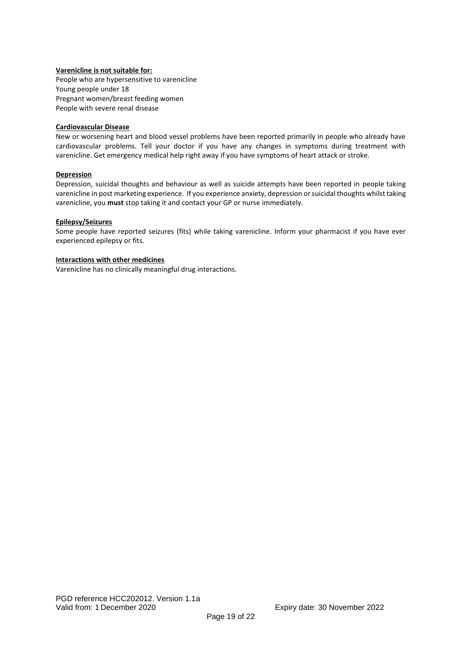#### **Varenicline is not suitable for:**

People who are hypersensitive to varenicline Young people under 18 Pregnant women/breast feeding women People with severe renal disease

#### **Cardiovascular Disease**

New or worsening heart and blood vessel problems have been reported primarily in people who already have cardiovascular problems. Tell your doctor if you have any changes in symptoms during treatment with varenicline. Get emergency medical help right away if you have symptoms of heart attack or stroke.

#### **Depression**

Depression, suicidal thoughts and behaviour as well as suicide attempts have been reported in people taking varenicline in post marketing experience. If you experience anxiety, depression or suicidal thoughts whilst taking varenicline, you **must** stop taking it and contact your GP or nurse immediately.

#### **Epilepsy/Seizures**

Some people have reported seizures (fits) while taking varenicline. Inform your pharmacist if you have ever experienced epilepsy or fits.

#### **Interactions with other medicines**

Varenicline has no clinically meaningful drug interactions.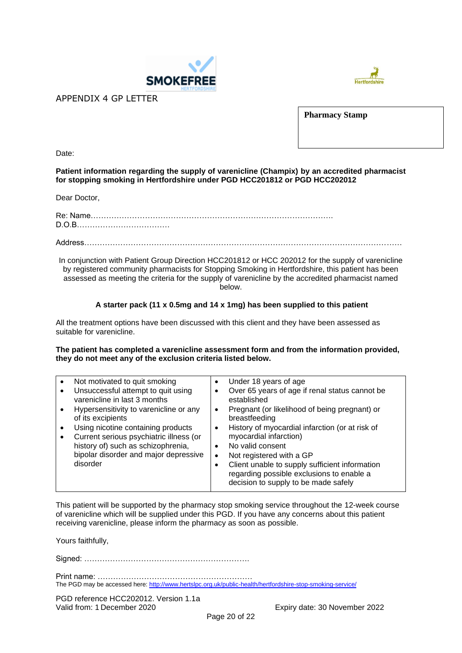



APPENDIX 4 GP LETTER

**Pharmacy Stamp**

Date:

#### **Patient information regarding the supply of varenicline (Champix) by an accredited pharmacist for stopping smoking in Hertfordshire under PGD HCC201812 or PGD HCC202012**

Dear Doctor,

Re: Name………………………………………………………………………………….

D.O.B………………………………

Address……………………………………………………………………………………………………………

In conjunction with Patient Group Direction HCC201812 or HCC 202012 for the supply of varenicline by registered community pharmacists for Stopping Smoking in Hertfordshire, this patient has been assessed as meeting the criteria for the supply of varenicline by the accredited pharmacist named below.

#### **A starter pack (11 x 0.5mg and 14 x 1mg) has been supplied to this patient**

All the treatment options have been discussed with this client and they have been assessed as suitable for varenicline.

**The patient has completed a varenicline assessment form and from the information provided, they do not meet any of the exclusion criteria listed below.**

| Not motivated to quit smoking                                      |           | Under 18 years of age                                          |
|--------------------------------------------------------------------|-----------|----------------------------------------------------------------|
| Unsuccessful attempt to quit using<br>varenicline in last 3 months |           | Over 65 years of age if renal status cannot be<br>established  |
| Hypersensitivity to varenicline or any<br>of its excipients        | ٠         | Pregnant (or likelihood of being pregnant) or<br>breastfeeding |
| Using nicotine containing products                                 | $\bullet$ | History of myocardial infarction (or at risk of                |
| Current serious psychiatric illness (or                            |           | myocardial infarction)                                         |
| history of) such as schizophrenia,                                 |           | No valid consent                                               |
| bipolar disorder and major depressive                              | ٠         | Not registered with a GP                                       |
| disorder                                                           |           | Client unable to supply sufficient information                 |
|                                                                    |           | regarding possible exclusions to enable a                      |
|                                                                    |           | decision to supply to be made safely                           |
|                                                                    |           |                                                                |

This patient will be supported by the pharmacy stop smoking service throughout the 12-week course of varenicline which will be supplied under this PGD. If you have any concerns about this patient receiving varenicline, please inform the pharmacy as soon as possible.

Yours faithfully,

Signed: ……………………………………………………….

Print name: …………………………………………………… The PGD may be accessed here[: http://www.hertslpc.org.uk/public-health/hertfordshire-stop-smoking-service/](http://www.hertslpc.org.uk/public-health/hertfordshire-stop-smoking-service/)

PGD reference HCC202012. Version 1.1a Valid from: 1 December 2020 Expiry date: 30 November 2022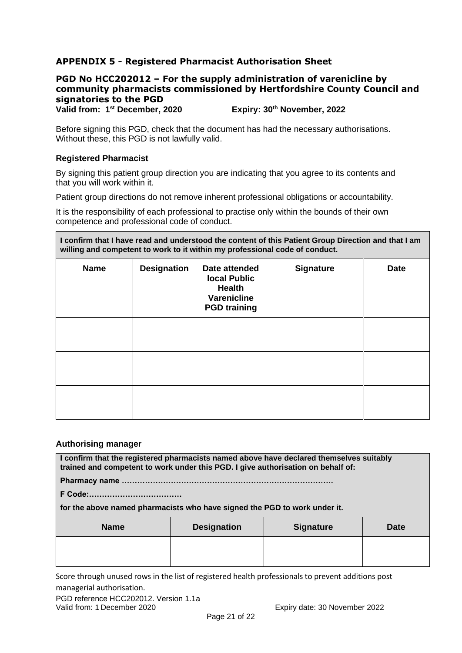## **APPENDIX 5 - Registered Pharmacist Authorisation Sheet**

### **PGD No HCC202012 – For the supply administration of varenicline by community pharmacists commissioned by Hertfordshire County Council and signatories to the PGD**

**Valid from: 1st December, 2020 Expiry: 30th November, 2022**

Before signing this PGD, check that the document has had the necessary authorisations. Without these, this PGD is not lawfully valid.

#### **Registered Pharmacist**

By signing this patient group direction you are indicating that you agree to its contents and that you will work within it.

Patient group directions do not remove inherent professional obligations or accountability.

It is the responsibility of each professional to practise only within the bounds of their own competence and professional code of conduct.

**I confirm that I have read and understood the content of this Patient Group Direction and that I am willing and competent to work to it within my professional code of conduct.**

| <b>Name</b> | <b>Designation</b> | Date attended<br><b>local Public</b><br><b>Health</b><br>Varenicline<br><b>PGD</b> training | <b>Signature</b> | <b>Date</b> |
|-------------|--------------------|---------------------------------------------------------------------------------------------|------------------|-------------|
|             |                    |                                                                                             |                  |             |
|             |                    |                                                                                             |                  |             |
|             |                    |                                                                                             |                  |             |

#### **Authorising manager**

**I confirm that the registered pharmacists named above have declared themselves suitably trained and competent to work under this PGD. I give authorisation on behalf of:**

**Pharmacy name ……………………………………………………………………….**

**F Code:………………………………** 

**for the above named pharmacists who have signed the PGD to work under it.**

| <b>Name</b> | <b>Designation</b> | <b>Signature</b> | <b>Date</b> |
|-------------|--------------------|------------------|-------------|
|             |                    |                  |             |
|             |                    |                  |             |

Score through unused rows in the list of registered health professionals to prevent additions post managerial authorisation.

PGD reference HCC202012. Version 1.1a Valid from: 1 December 2020 Expiry date: 30 November 2022